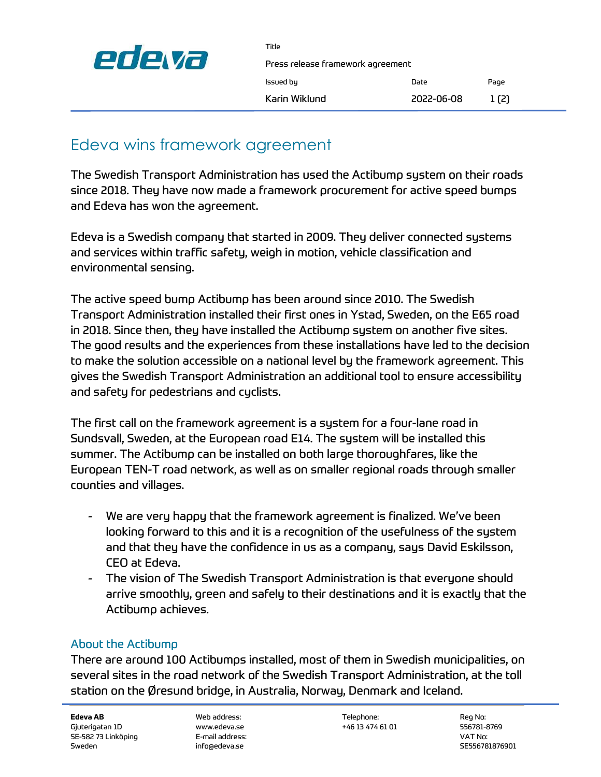

Press release framework agreement

| issued ou     |  |
|---------------|--|
| Karin Wiklund |  |

Title

Issued by Date Page  $2022-06-08$  1(2)

## Edeva wins framework agreement

The Swedish Transport Administration has used the Actibump system on their roads since 2018. They have now made a framework procurement for active speed bumps and Edeva has won the agreement.

Edeva is a Swedish company that started in 2009. They deliver connected systems and services within traffic safety, weigh in motion, vehicle classification and environmental sensing.

The active speed bump Actibump has been around since 2010. The Swedish Transport Administration installed their first ones in Ystad, Sweden, on the E65 road in 2018. Since then, they have installed the Actibump system on another five sites. The good results and the experiences from these installations have led to the decision to make the solution accessible on a national level by the framework agreement. This gives the Swedish Transport Administration an additional tool to ensure accessibility and safety for pedestrians and cyclists.

The first call on the framework agreement is a system for a four-lane road in Sundsvall, Sweden, at the European road E14. The system will be installed this summer. The Actibump can be installed on both large thoroughfares, like the European TEN-T road network, as well as on smaller regional roads through smaller counties and villages.

- We are very happy that the framework agreement is finalized. We've been looking forward to this and it is a recognition of the usefulness of the system and that they have the confidence in us as a company, says David Eskilsson, CEO at Edeva.
- The vision of The Swedish Transport Administration is that everyone should arrive smoothly, green and safely to their destinations and it is exactly that the Actibump achieves.

## About the Actibump

There are around 100 Actibumps installed, most of them in Swedish municipalities, on several sites in the road network of the Swedish Transport Administration, at the toll station on the Øresund bridge, in Australia, Norway, Denmark and Iceland.

**Edeva AB** Reg No: Telephone: Telephone: Reg No: Telephone: Reg No: Telephone: Reg No: Telephone: Reg No: Telephone: Reg No: Telephone: Reg No: Telephone: Reg No: Telephone: Reg No: Telephone: Reg No: Telephone: Reg No: Te Gjuterigatan 1D www.edeva.se +46 13 474 61 01 556781-8769 SE-582 73 Linköping E-mail address: VAT No: Sweden info@edeva.se info@edeva.se SE556781876901